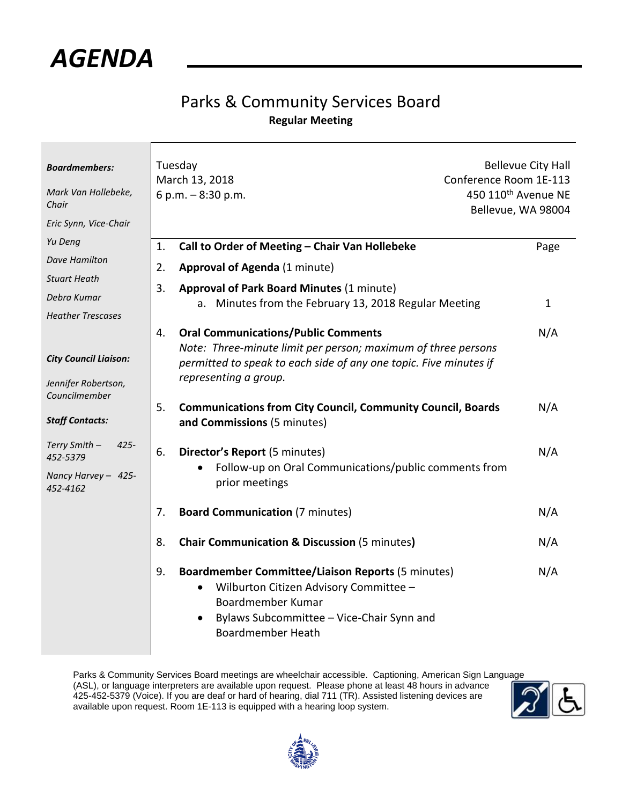

## Parks & Community Services Board **Regular Meeting**

| <b>Boardmembers:</b><br>Mark Van Hollebeke,<br>Chair<br>Eric Synn, Vice-Chair | Tuesday<br>March 13, 2018<br>6 p.m. $-8:30$ p.m.                                                                                                                                                                    | <b>Bellevue City Hall</b><br>Conference Room 1E-113<br>450 110 <sup>th</sup> Avenue NE<br>Bellevue, WA 98004 |  |
|-------------------------------------------------------------------------------|---------------------------------------------------------------------------------------------------------------------------------------------------------------------------------------------------------------------|--------------------------------------------------------------------------------------------------------------|--|
| Yu Deng<br>Dave Hamilton<br><b>Stuart Heath</b>                               | Call to Order of Meeting - Chair Van Hollebeke<br>1.<br><b>Approval of Agenda (1 minute)</b><br>2.<br>3.<br><b>Approval of Park Board Minutes (1 minute)</b>                                                        | Page                                                                                                         |  |
| Debra Kumar<br><b>Heather Trescases</b>                                       | a. Minutes from the February 13, 2018 Regular Meeting                                                                                                                                                               | $\mathbf 1$                                                                                                  |  |
| <b>City Council Liaison:</b><br>Jennifer Robertson,                           | <b>Oral Communications/Public Comments</b><br>4.<br>Note: Three-minute limit per person; maximum of three persons<br>permitted to speak to each side of any one topic. Five minutes if<br>representing a group.     | N/A                                                                                                          |  |
| Councilmember<br><b>Staff Contacts:</b>                                       | <b>Communications from City Council, Community Council, Boards</b><br>5.<br>and Commissions (5 minutes)                                                                                                             | N/A                                                                                                          |  |
| Terry Smith -<br>$425 -$<br>452-5379<br>Nancy Harvey - 425-<br>452-4162       | 6.<br>Director's Report (5 minutes)<br>Follow-up on Oral Communications/public comments from<br>prior meetings                                                                                                      | N/A                                                                                                          |  |
|                                                                               | <b>Board Communication (7 minutes)</b><br>7.                                                                                                                                                                        | N/A                                                                                                          |  |
|                                                                               | 8.<br><b>Chair Communication &amp; Discussion (5 minutes)</b>                                                                                                                                                       | N/A                                                                                                          |  |
|                                                                               | 9.<br><b>Boardmember Committee/Liaison Reports (5 minutes)</b><br>Wilburton Citizen Advisory Committee -<br>$\bullet$<br>Boardmember Kumar<br>Bylaws Subcommittee - Vice-Chair Synn and<br><b>Boardmember Heath</b> | N/A                                                                                                          |  |

Parks & Community Services Board meetings are wheelchair accessible. Captioning, American Sign Language (ASL), or language interpreters are available upon request. Please phone at least 48 hours in advance 425-452-5379 (Voice). If you are deaf or hard of hearing, dial 711 (TR). Assisted listening devices are available upon request. Room 1E-113 is equipped with a hearing loop system.